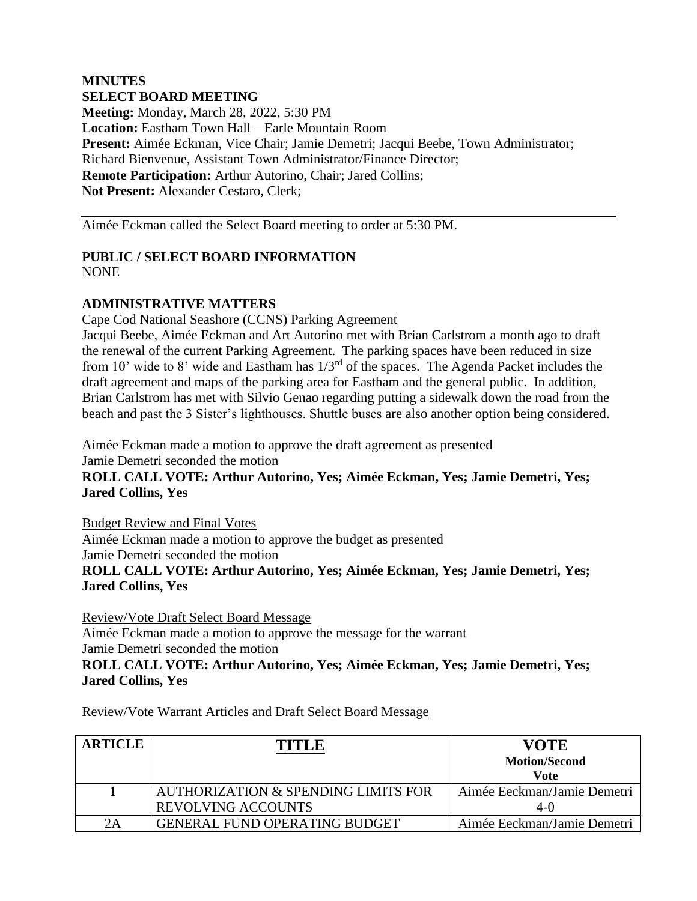## **MINUTES SELECT BOARD MEETING Meeting:** Monday, March 28, 2022, 5:30 PM **Location:** Eastham Town Hall – Earle Mountain Room **Present:** Aimée Eckman, Vice Chair; Jamie Demetri; Jacqui Beebe, Town Administrator; Richard Bienvenue, Assistant Town Administrator/Finance Director; **Remote Participation:** Arthur Autorino, Chair; Jared Collins; **Not Present:** Alexander Cestaro, Clerk;

Aimée Eckman called the Select Board meeting to order at 5:30 PM.

#### **PUBLIC / SELECT BOARD INFORMATION** NONE

### **ADMINISTRATIVE MATTERS**

Cape Cod National Seashore (CCNS) Parking Agreement

Jacqui Beebe, Aimée Eckman and Art Autorino met with Brian Carlstrom a month ago to draft the renewal of the current Parking Agreement. The parking spaces have been reduced in size from 10' wide to 8' wide and Eastham has 1/3rd of the spaces. The Agenda Packet includes the draft agreement and maps of the parking area for Eastham and the general public. In addition, Brian Carlstrom has met with Silvio Genao regarding putting a sidewalk down the road from the beach and past the 3 Sister's lighthouses. Shuttle buses are also another option being considered.

Aimée Eckman made a motion to approve the draft agreement as presented Jamie Demetri seconded the motion

**ROLL CALL VOTE: Arthur Autorino, Yes; Aimée Eckman, Yes; Jamie Demetri, Yes; Jared Collins, Yes**

Budget Review and Final Votes Aimée Eckman made a motion to approve the budget as presented Jamie Demetri seconded the motion **ROLL CALL VOTE: Arthur Autorino, Yes; Aimée Eckman, Yes; Jamie Demetri, Yes; Jared Collins, Yes**

Review/Vote Draft Select Board Message Aimée Eckman made a motion to approve the message for the warrant Jamie Demetri seconded the motion **ROLL CALL VOTE: Arthur Autorino, Yes; Aimée Eckman, Yes; Jamie Demetri, Yes; Jared Collins, Yes**

Review/Vote Warrant Articles and Draft Select Board Message

| <b>ARTICLE</b> | TITIR                                                            | <b>VOTE</b><br><b>Motion/Second</b><br>Vote |
|----------------|------------------------------------------------------------------|---------------------------------------------|
|                | AUTHORIZATION & SPENDING LIMITS FOR<br><b>REVOLVING ACCOUNTS</b> | Aimée Eeckman/Jamie Demetri<br>4-0          |
| 2A             | <b>GENERAL FUND OPERATING BUDGET</b>                             | Aimée Eeckman/Jamie Demetri                 |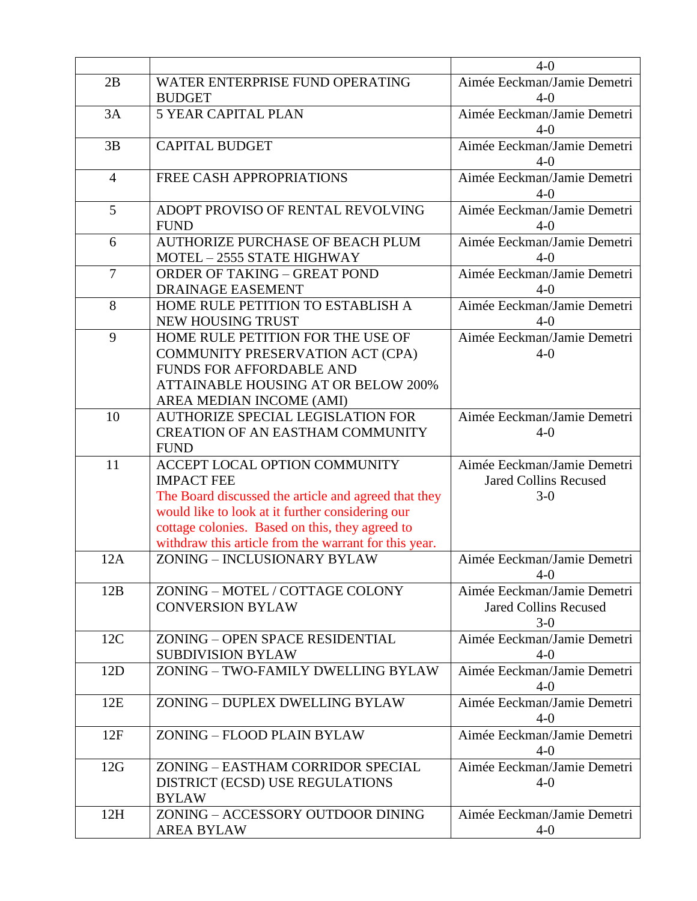|                |                                                                                                     | $4-0$                                 |
|----------------|-----------------------------------------------------------------------------------------------------|---------------------------------------|
| 2B             | WATER ENTERPRISE FUND OPERATING                                                                     | Aimée Eeckman/Jamie Demetri           |
|                | <b>BUDGET</b>                                                                                       | $4-0$                                 |
| 3A             | <b>5 YEAR CAPITAL PLAN</b>                                                                          | Aimée Eeckman/Jamie Demetri           |
|                |                                                                                                     | $4 - 0$                               |
| 3B             | <b>CAPITAL BUDGET</b>                                                                               | Aimée Eeckman/Jamie Demetri           |
|                |                                                                                                     | $4 - 0$                               |
| $\overline{4}$ | FREE CASH APPROPRIATIONS                                                                            | Aimée Eeckman/Jamie Demetri           |
|                |                                                                                                     | $4-0$                                 |
| 5              | ADOPT PROVISO OF RENTAL REVOLVING                                                                   | Aimée Eeckman/Jamie Demetri           |
|                | <b>FUND</b>                                                                                         | $4 - 0$                               |
| 6              | <b>AUTHORIZE PURCHASE OF BEACH PLUM</b>                                                             | Aimée Eeckman/Jamie Demetri           |
|                | MOTEL - 2555 STATE HIGHWAY                                                                          | $4-0$                                 |
| $\overline{7}$ | <b>ORDER OF TAKING - GREAT POND</b>                                                                 | Aimée Eeckman/Jamie Demetri           |
|                | <b>DRAINAGE EASEMENT</b>                                                                            | $4-0$                                 |
| 8              | HOME RULE PETITION TO ESTABLISH A                                                                   | Aimée Eeckman/Jamie Demetri           |
|                | NEW HOUSING TRUST                                                                                   | $4-0$                                 |
| 9              | HOME RULE PETITION FOR THE USE OF                                                                   | Aimée Eeckman/Jamie Demetri           |
|                | COMMUNITY PRESERVATION ACT (CPA)                                                                    | $4 - 0$                               |
|                | <b>FUNDS FOR AFFORDABLE AND</b>                                                                     |                                       |
|                | <b>ATTAINABLE HOUSING AT OR BELOW 200%</b>                                                          |                                       |
|                | AREA MEDIAN INCOME (AMI)                                                                            |                                       |
| 10             | <b>AUTHORIZE SPECIAL LEGISLATION FOR</b>                                                            | Aimée Eeckman/Jamie Demetri           |
|                | <b>CREATION OF AN EASTHAM COMMUNITY</b>                                                             | $4-0$                                 |
|                | <b>FUND</b>                                                                                         |                                       |
| 11             | ACCEPT LOCAL OPTION COMMUNITY                                                                       | Aimée Eeckman/Jamie Demetri           |
|                | <b>IMPACT FEE</b>                                                                                   | <b>Jared Collins Recused</b><br>$3-0$ |
|                | The Board discussed the article and agreed that they                                                |                                       |
|                | would like to look at it further considering our<br>cottage colonies. Based on this, they agreed to |                                       |
|                | withdraw this article from the warrant for this year.                                               |                                       |
| 12A            | ZONING - INCLUSIONARY BYLAW                                                                         | Aimée Eeckman/Jamie Demetri           |
|                |                                                                                                     | $4 - 0$                               |
| 12B            | ZONING - MOTEL / COTTAGE COLONY                                                                     | Aimée Eeckman/Jamie Demetri           |
|                | <b>CONVERSION BYLAW</b>                                                                             | <b>Jared Collins Recused</b>          |
|                |                                                                                                     | $3-0$                                 |
| 12C            | ZONING - OPEN SPACE RESIDENTIAL                                                                     | Aimée Eeckman/Jamie Demetri           |
|                | <b>SUBDIVISION BYLAW</b>                                                                            | $4-0$                                 |
| 12D            | ZONING - TWO-FAMILY DWELLING BYLAW                                                                  | Aimée Eeckman/Jamie Demetri           |
|                |                                                                                                     | $4-0$                                 |
| 12E            | ZONING - DUPLEX DWELLING BYLAW                                                                      | Aimée Eeckman/Jamie Demetri           |
|                |                                                                                                     | $4-0$                                 |
| 12F            | ZONING - FLOOD PLAIN BYLAW                                                                          | Aimée Eeckman/Jamie Demetri           |
|                |                                                                                                     | $4-0$                                 |
| 12G            | ZONING - EASTHAM CORRIDOR SPECIAL                                                                   | Aimée Eeckman/Jamie Demetri           |
|                | DISTRICT (ECSD) USE REGULATIONS                                                                     | $4-0$                                 |
|                |                                                                                                     |                                       |
|                | <b>BYLAW</b>                                                                                        |                                       |
| 12H            | ZONING - ACCESSORY OUTDOOR DINING                                                                   | Aimée Eeckman/Jamie Demetri           |